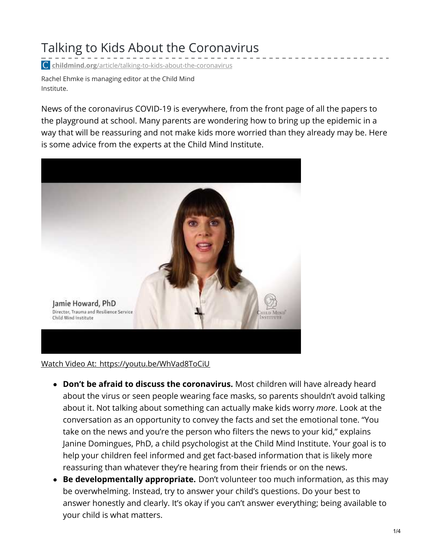# Talking to Kids About the Coronavirus

**childmind.org**[/article/talking-to-kids-about-the-coronavirus](https://childmind.org/article/talking-to-kids-about-the-coronavirus/)

Rachel Ehmke is managing editor at the Child Mind Institute.

News of the coronavirus COVID-19 is everywhere, from the front page of all the papers to the playground at school. Many parents are wondering how to bring up the epidemic in a way that will be reassuring and not make kids more worried than they already may be. Here is some advice from the experts at the Child Mind Institute.



Watch Video At: <https://youtu.be/WhVad8ToCiU>

- **Don't be afraid to discuss the coronavirus.** Most children will have already heard about the virus or seen people wearing face masks, so parents shouldn't avoid talking about it. Not talking about something can actually make kids worry *more*. Look at the conversation as an opportunity to convey the facts and set the emotional tone. "You take on the news and you're the person who filters the news to your kid," explains Janine Domingues, PhD, a child psychologist at the Child Mind Institute. Your goal is to help your children feel informed and get fact-based information that is likely more reassuring than whatever they're hearing from their friends or on the news.
- **Be developmentally appropriate.** Don't volunteer too much information, as this may be overwhelming. Instead, try to answer your child's questions. Do your best to answer honestly and clearly. It's okay if you can't answer everything; being available to your child is what matters.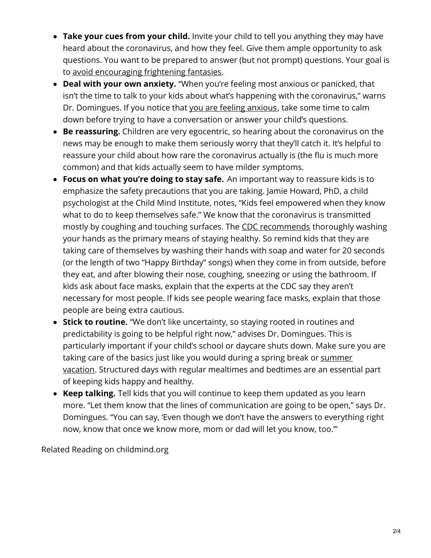- **Take your cues from your child.** Invite your child to tell you anything they may have heard about the coronavirus, and how they feel. Give them ample opportunity to ask questions. You want to be prepared to answer (but not prompt) questions. Your goal is to avoid [encouraging](https://childmind.org/article/what-to-do-and-not-do-when-children-are-anxious/) frightening fantasies.
- **Deal with your own anxiety.** "When you're feeling most anxious or panicked, that isn't the time to talk to your kids about what's happening with the coronavirus," warns Dr. Domingues. If you notice that you are feeling [anxious](https://childmind.org/article/how-to-avoid-passing-anxiety-on-to-your-kids/), take some time to calm down before trying to have a conversation or answer your child's questions.
- **Be reassuring.** Children are very egocentric, so hearing about the coronavirus on the news may be enough to make them seriously worry that they'll catch it. It's helpful to reassure your child about how rare the coronavirus actually is (the flu is much more common) and that kids actually seem to have milder symptoms.
- **Focus on what you're doing to stay safe.** An important way to reassure kids is to emphasize the safety precautions that you are taking. Jamie Howard, PhD, a child psychologist at the Child Mind Institute, notes, "Kids feel empowered when they know what to do to keep themselves safe." We know that the coronavirus is transmitted mostly by coughing and touching surfaces. The CDC [recommends](https://www.cdc.gov/coronavirus/2019-ncov/about/prevention-treatment.html) thoroughly washing your hands as the primary means of staying healthy. So remind kids that they are taking care of themselves by washing their hands with soap and water for 20 seconds (or the length of two "Happy Birthday" songs) when they come in from outside, before they eat, and after blowing their nose, coughing, sneezing or using the bathroom. If kids ask about face masks, explain that the experts at the CDC say they aren't necessary for most people. If kids see people wearing face masks, explain that those people are being extra cautious.
- **Stick to routine.** "We don't like uncertainty, so staying rooted in routines and predictability is going to be helpful right now," advises Dr. Domingues. This is particularly important if your child's school or daycare shuts down. Make sure you are taking care of the basics just like you would during a spring break or summer vacation. [Structured](https://childmind.org/article/strategies-for-a-successful-summer-break/) days with regular mealtimes and bedtimes are an essential part of keeping kids happy and healthy.
- **Keep talking.** Tell kids that you will continue to keep them updated as you learn more. "Let them know that the lines of communication are going to be open," says Dr. Domingues. "You can say, 'Even though we don't have the answers to everything right now, know that once we know more, mom or dad will let you know, too.'"

Related Reading on childmind.org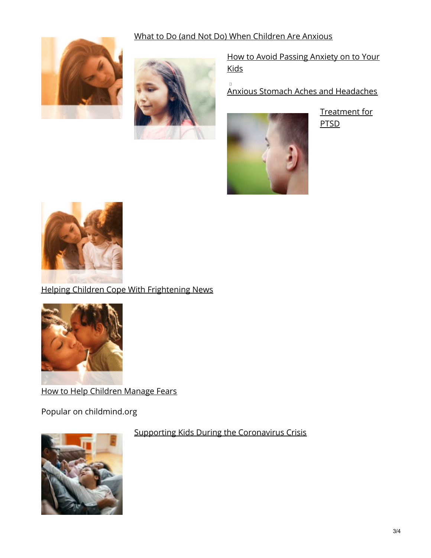## What to Do (and Not Do) When Children Are Anxious

 $\Box$ 





How to Avoid Passing Anxiety on to Your **Kids** 

Anxious Stomach Aches and Headaches



Treatment for PTSD



# Helping Children Cope With Frightening News



How to Help Children Manage Fears

Popular on childmind.org



#### Supporting Kids During the Coronavirus Crisis